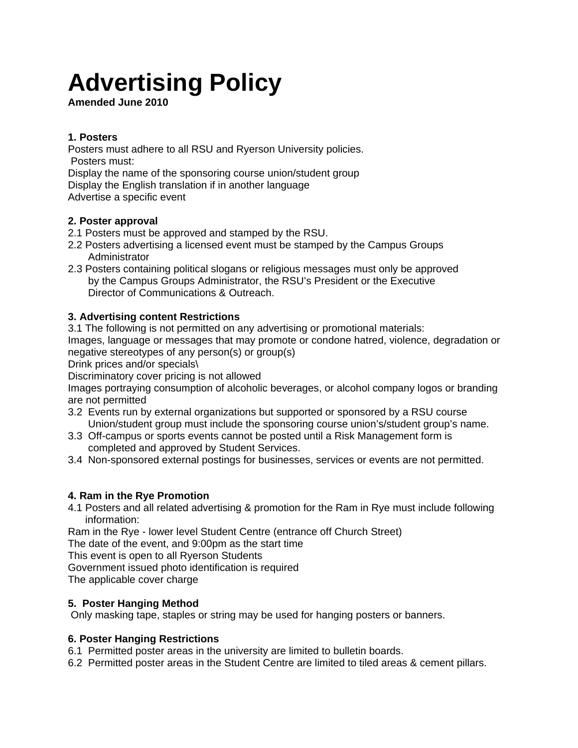# **Advertising Policy**

**Amended June 2010** 

## **1. Posters**

Posters must adhere to all RSU and Ryerson University policies. Posters must: Display the name of the sponsoring course union/student group

Display the English translation if in another language

Advertise a specific event

#### **2. Poster approval**

- 2.1 Posters must be approved and stamped by the RSU.
- 2.2 Posters advertising a licensed event must be stamped by the Campus Groups Administrator
- 2.3 Posters containing political slogans or religious messages must only be approved by the Campus Groups Administrator, the RSU's President or the Executive Director of Communications & Outreach.

# **3. Advertising content Restrictions**

3.1 The following is not permitted on any advertising or promotional materials:

Images, language or messages that may promote or condone hatred, violence, degradation or negative stereotypes of any person(s) or group(s)

Drink prices and/or specials\

Discriminatory cover pricing is not allowed

Images portraying consumption of alcoholic beverages, or alcohol company logos or branding are not permitted

- 3.2 Events run by external organizations but supported or sponsored by a RSU course Union/student group must include the sponsoring course union's/student group's name.
- 3.3Off-campus or sports events cannot be posted until a Risk Management form is completed and approved by Student Services.
- 3.4Non-sponsored external postings for businesses, services or events are not permitted.

#### **4. Ram in the Rye Promotion**

4.1 Posters and all related advertising & promotion for the Ram in Rye must include following information:

Ram in the Rye - lower level Student Centre (entrance off Church Street)

The date of the event, and 9:00pm as the start time

This event is open to all Ryerson Students

Government issued photo identification is required

The applicable cover charge

#### **5. Poster Hanging Method**

Only masking tape, staples or string may be used for hanging posters or banners.

#### **6. Poster Hanging Restrictions**

6.1 Permitted poster areas in the university are limited to bulletin boards.

6.2 Permitted poster areas in the Student Centre are limited to tiled areas & cement pillars.